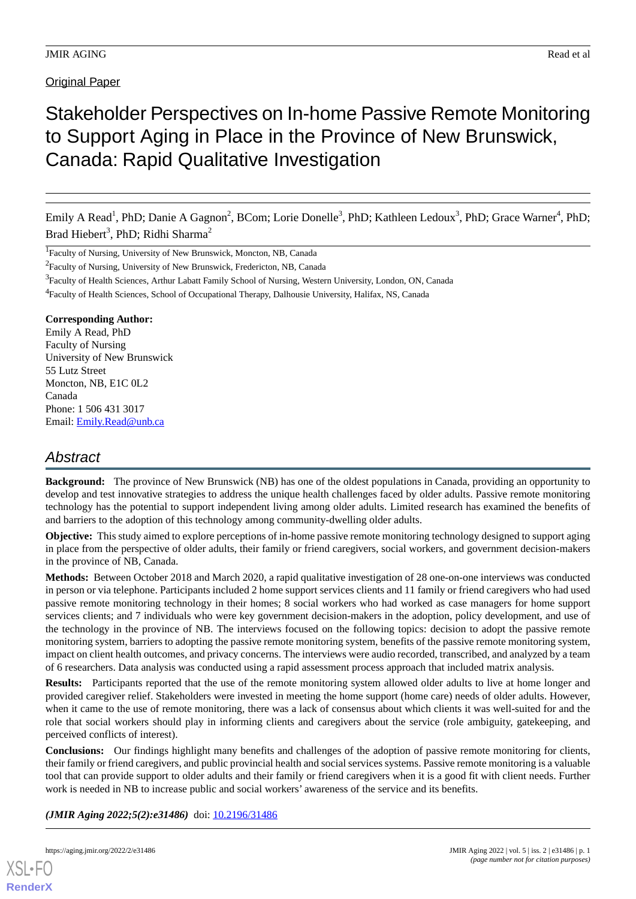### **Original Paper**

# Stakeholder Perspectives on In-home Passive Remote Monitoring to Support Aging in Place in the Province of New Brunswick, Canada: Rapid Qualitative Investigation

Emily A Read<sup>1</sup>, PhD; Danie A Gagnon<sup>2</sup>, BCom; Lorie Donelle<sup>3</sup>, PhD; Kathleen Ledoux<sup>3</sup>, PhD; Grace Warner<sup>4</sup>, PhD; Brad Hiebert<sup>3</sup>, PhD; Ridhi Sharma<sup>2</sup>

<sup>1</sup>Faculty of Nursing, University of New Brunswick, Moncton, NB, Canada

<sup>2</sup> Faculty of Nursing, University of New Brunswick, Fredericton, NB, Canada

<sup>4</sup> Faculty of Health Sciences, School of Occupational Therapy, Dalhousie University, Halifax, NS, Canada

### **Corresponding Author:**

Emily A Read, PhD Faculty of Nursing University of New Brunswick 55 Lutz Street Moncton, NB, E1C 0L2 Canada Phone: 1 506 431 3017 Email: [Emily.Read@unb.ca](mailto:Emily.Read@unb.ca)

# *Abstract*

**Background:** The province of New Brunswick (NB) has one of the oldest populations in Canada, providing an opportunity to develop and test innovative strategies to address the unique health challenges faced by older adults. Passive remote monitoring technology has the potential to support independent living among older adults. Limited research has examined the benefits of and barriers to the adoption of this technology among community-dwelling older adults.

**Objective:** This study aimed to explore perceptions of in-home passive remote monitoring technology designed to support aging in place from the perspective of older adults, their family or friend caregivers, social workers, and government decision-makers in the province of NB, Canada.

**Methods:** Between October 2018 and March 2020, a rapid qualitative investigation of 28 one-on-one interviews was conducted in person or via telephone. Participants included 2 home support services clients and 11 family or friend caregivers who had used passive remote monitoring technology in their homes; 8 social workers who had worked as case managers for home support services clients; and 7 individuals who were key government decision-makers in the adoption, policy development, and use of the technology in the province of NB. The interviews focused on the following topics: decision to adopt the passive remote monitoring system, barriers to adopting the passive remote monitoring system, benefits of the passive remote monitoring system, impact on client health outcomes, and privacy concerns. The interviews were audio recorded, transcribed, and analyzed by a team of 6 researchers. Data analysis was conducted using a rapid assessment process approach that included matrix analysis.

**Results:** Participants reported that the use of the remote monitoring system allowed older adults to live at home longer and provided caregiver relief. Stakeholders were invested in meeting the home support (home care) needs of older adults. However, when it came to the use of remote monitoring, there was a lack of consensus about which clients it was well-suited for and the role that social workers should play in informing clients and caregivers about the service (role ambiguity, gatekeeping, and perceived conflicts of interest).

**Conclusions:** Our findings highlight many benefits and challenges of the adoption of passive remote monitoring for clients, their family or friend caregivers, and public provincial health and social services systems. Passive remote monitoring is a valuable tool that can provide support to older adults and their family or friend caregivers when it is a good fit with client needs. Further work is needed in NB to increase public and social workers' awareness of the service and its benefits.

(JMIR Aging 2022;5(2):e31486) doi: [10.2196/31486](http://dx.doi.org/10.2196/31486)



<sup>&</sup>lt;sup>3</sup> Faculty of Health Sciences, Arthur Labatt Family School of Nursing, Western University, London, ON, Canada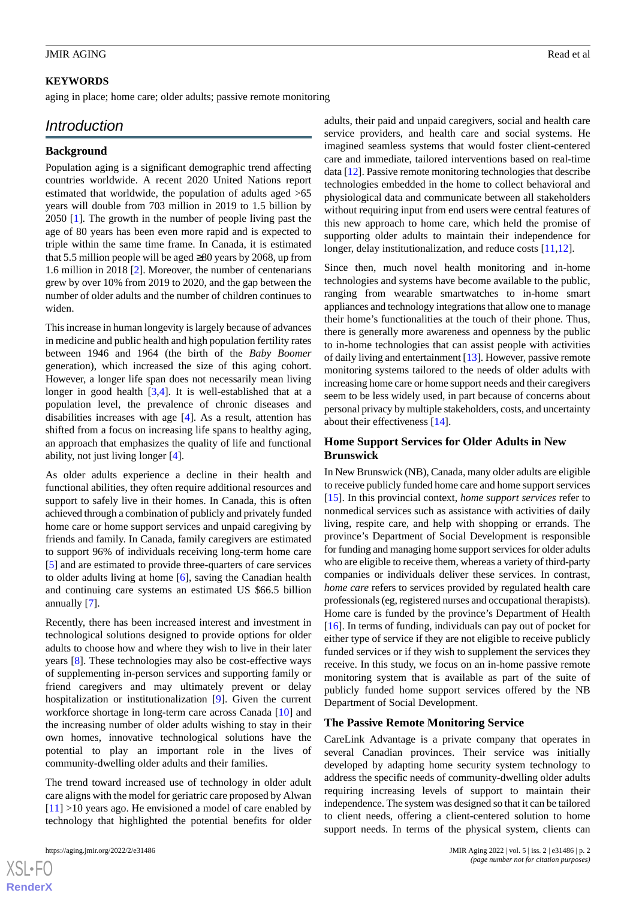### **KEYWORDS**

aging in place; home care; older adults; passive remote monitoring

### *Introduction*

### **Background**

Population aging is a significant demographic trend affecting countries worldwide. A recent 2020 United Nations report estimated that worldwide, the population of adults aged >65 years will double from 703 million in 2019 to 1.5 billion by 2050 [[1\]](#page-11-0). The growth in the number of people living past the age of 80 years has been even more rapid and is expected to triple within the same time frame. In Canada, it is estimated that 5.5 million people will be aged ≥80 years by 2068, up from 1.6 million in 2018 [[2](#page-11-1)]. Moreover, the number of centenarians grew by over 10% from 2019 to 2020, and the gap between the number of older adults and the number of children continues to widen.

This increase in human longevity is largely because of advances in medicine and public health and high population fertility rates between 1946 and 1964 (the birth of the *Baby Boomer* generation), which increased the size of this aging cohort. However, a longer life span does not necessarily mean living longer in good health [[3,](#page-11-2)[4](#page-11-3)]. It is well-established that at a population level, the prevalence of chronic diseases and disabilities increases with age [[4\]](#page-11-3). As a result, attention has shifted from a focus on increasing life spans to healthy aging, an approach that emphasizes the quality of life and functional ability, not just living longer [[4\]](#page-11-3).

As older adults experience a decline in their health and functional abilities, they often require additional resources and support to safely live in their homes. In Canada, this is often achieved through a combination of publicly and privately funded home care or home support services and unpaid caregiving by friends and family. In Canada, family caregivers are estimated to support 96% of individuals receiving long-term home care [[5\]](#page-11-4) and are estimated to provide three-quarters of care services to older adults living at home [\[6\]](#page-11-5), saving the Canadian health and continuing care systems an estimated US \$66.5 billion annually [[7\]](#page-11-6).

Recently, there has been increased interest and investment in technological solutions designed to provide options for older adults to choose how and where they wish to live in their later years [[8\]](#page-11-7). These technologies may also be cost-effective ways of supplementing in-person services and supporting family or friend caregivers and may ultimately prevent or delay hospitalization or institutionalization [\[9](#page-11-8)]. Given the current workforce shortage in long-term care across Canada [[10\]](#page-11-9) and the increasing number of older adults wishing to stay in their own homes, innovative technological solutions have the potential to play an important role in the lives of community-dwelling older adults and their families.

The trend toward increased use of technology in older adult care aligns with the model for geriatric care proposed by Alwan  $[11]$  $[11]$  >10 years ago. He envisioned a model of care enabled by technology that highlighted the potential benefits for older

 $XS$  • FO **[RenderX](http://www.renderx.com/)** adults, their paid and unpaid caregivers, social and health care service providers, and health care and social systems. He imagined seamless systems that would foster client-centered care and immediate, tailored interventions based on real-time data [[12\]](#page-12-0). Passive remote monitoring technologies that describe technologies embedded in the home to collect behavioral and physiological data and communicate between all stakeholders without requiring input from end users were central features of this new approach to home care, which held the promise of supporting older adults to maintain their independence for longer, delay institutionalization, and reduce costs [[11](#page-11-10)[,12](#page-12-0)].

Since then, much novel health monitoring and in-home technologies and systems have become available to the public, ranging from wearable smartwatches to in-home smart appliances and technology integrations that allow one to manage their home's functionalities at the touch of their phone. Thus, there is generally more awareness and openness by the public to in-home technologies that can assist people with activities of daily living and entertainment [[13\]](#page-12-1). However, passive remote monitoring systems tailored to the needs of older adults with increasing home care or home support needs and their caregivers seem to be less widely used, in part because of concerns about personal privacy by multiple stakeholders, costs, and uncertainty about their effectiveness [[14\]](#page-12-2).

### **Home Support Services for Older Adults in New Brunswick**

In New Brunswick (NB), Canada, many older adults are eligible to receive publicly funded home care and home support services [[15\]](#page-12-3). In this provincial context, *home support services* refer to nonmedical services such as assistance with activities of daily living, respite care, and help with shopping or errands. The province's Department of Social Development is responsible for funding and managing home support services for older adults who are eligible to receive them, whereas a variety of third-party companies or individuals deliver these services. In contrast, *home care* refers to services provided by regulated health care professionals (eg, registered nurses and occupational therapists). Home care is funded by the province's Department of Health [[16\]](#page-12-4). In terms of funding, individuals can pay out of pocket for either type of service if they are not eligible to receive publicly funded services or if they wish to supplement the services they receive. In this study, we focus on an in-home passive remote monitoring system that is available as part of the suite of publicly funded home support services offered by the NB Department of Social Development.

#### **The Passive Remote Monitoring Service**

CareLink Advantage is a private company that operates in several Canadian provinces. Their service was initially developed by adapting home security system technology to address the specific needs of community-dwelling older adults requiring increasing levels of support to maintain their independence. The system was designed so that it can be tailored to client needs, offering a client-centered solution to home support needs. In terms of the physical system, clients can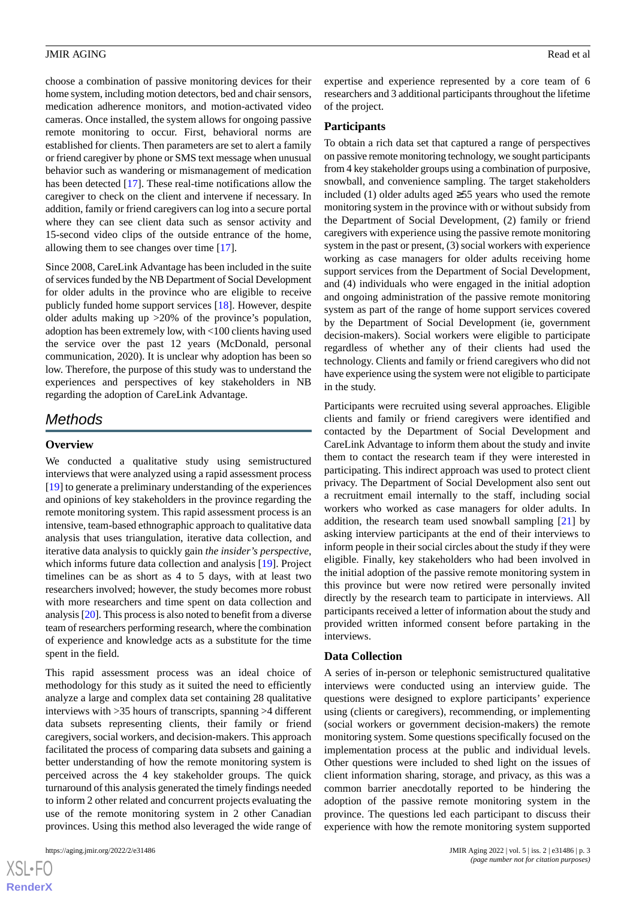choose a combination of passive monitoring devices for their home system, including motion detectors, bed and chair sensors, medication adherence monitors, and motion-activated video cameras. Once installed, the system allows for ongoing passive remote monitoring to occur. First, behavioral norms are established for clients. Then parameters are set to alert a family or friend caregiver by phone or SMS text message when unusual behavior such as wandering or mismanagement of medication has been detected [\[17](#page-12-5)]. These real-time notifications allow the caregiver to check on the client and intervene if necessary. In addition, family or friend caregivers can log into a secure portal where they can see client data such as sensor activity and 15-second video clips of the outside entrance of the home, allowing them to see changes over time [\[17](#page-12-5)].

Since 2008, CareLink Advantage has been included in the suite of services funded by the NB Department of Social Development for older adults in the province who are eligible to receive publicly funded home support services [\[18](#page-12-6)]. However, despite older adults making up >20% of the province's population, adoption has been extremely low, with <100 clients having used the service over the past 12 years (McDonald, personal communication, 2020). It is unclear why adoption has been so low. Therefore, the purpose of this study was to understand the experiences and perspectives of key stakeholders in NB regarding the adoption of CareLink Advantage.

### *Methods*

### **Overview**

We conducted a qualitative study using semistructured interviews that were analyzed using a rapid assessment process [[19\]](#page-12-7) to generate a preliminary understanding of the experiences and opinions of key stakeholders in the province regarding the remote monitoring system. This rapid assessment process is an intensive, team-based ethnographic approach to qualitative data analysis that uses triangulation, iterative data collection, and iterative data analysis to quickly gain *the insider's perspective*, which informs future data collection and analysis [\[19](#page-12-7)]. Project timelines can be as short as 4 to 5 days, with at least two researchers involved; however, the study becomes more robust with more researchers and time spent on data collection and analysis [\[20](#page-12-8)]. This process is also noted to benefit from a diverse team of researchers performing research, where the combination of experience and knowledge acts as a substitute for the time spent in the field.

This rapid assessment process was an ideal choice of methodology for this study as it suited the need to efficiently analyze a large and complex data set containing 28 qualitative interviews with >35 hours of transcripts, spanning >4 different data subsets representing clients, their family or friend caregivers, social workers, and decision-makers. This approach facilitated the process of comparing data subsets and gaining a better understanding of how the remote monitoring system is perceived across the 4 key stakeholder groups. The quick turnaround of this analysis generated the timely findings needed to inform 2 other related and concurrent projects evaluating the use of the remote monitoring system in 2 other Canadian provinces. Using this method also leveraged the wide range of expertise and experience represented by a core team of 6 researchers and 3 additional participants throughout the lifetime of the project.

#### **Participants**

To obtain a rich data set that captured a range of perspectives on passive remote monitoring technology, we sought participants from 4 key stakeholder groups using a combination of purposive, snowball, and convenience sampling. The target stakeholders included (1) older adults aged ≥55 years who used the remote monitoring system in the province with or without subsidy from the Department of Social Development, (2) family or friend caregivers with experience using the passive remote monitoring system in the past or present, (3) social workers with experience working as case managers for older adults receiving home support services from the Department of Social Development, and (4) individuals who were engaged in the initial adoption and ongoing administration of the passive remote monitoring system as part of the range of home support services covered by the Department of Social Development (ie, government decision-makers). Social workers were eligible to participate regardless of whether any of their clients had used the technology. Clients and family or friend caregivers who did not have experience using the system were not eligible to participate in the study.

Participants were recruited using several approaches. Eligible clients and family or friend caregivers were identified and contacted by the Department of Social Development and CareLink Advantage to inform them about the study and invite them to contact the research team if they were interested in participating. This indirect approach was used to protect client privacy. The Department of Social Development also sent out a recruitment email internally to the staff, including social workers who worked as case managers for older adults. In addition, the research team used snowball sampling [[21\]](#page-12-9) by asking interview participants at the end of their interviews to inform people in their social circles about the study if they were eligible. Finally, key stakeholders who had been involved in the initial adoption of the passive remote monitoring system in this province but were now retired were personally invited directly by the research team to participate in interviews. All participants received a letter of information about the study and provided written informed consent before partaking in the interviews.

#### **Data Collection**

A series of in-person or telephonic semistructured qualitative interviews were conducted using an interview guide. The questions were designed to explore participants' experience using (clients or caregivers), recommending, or implementing (social workers or government decision-makers) the remote monitoring system. Some questions specifically focused on the implementation process at the public and individual levels. Other questions were included to shed light on the issues of client information sharing, storage, and privacy, as this was a common barrier anecdotally reported to be hindering the adoption of the passive remote monitoring system in the province. The questions led each participant to discuss their experience with how the remote monitoring system supported

```
XS\cdotFC
RenderX
```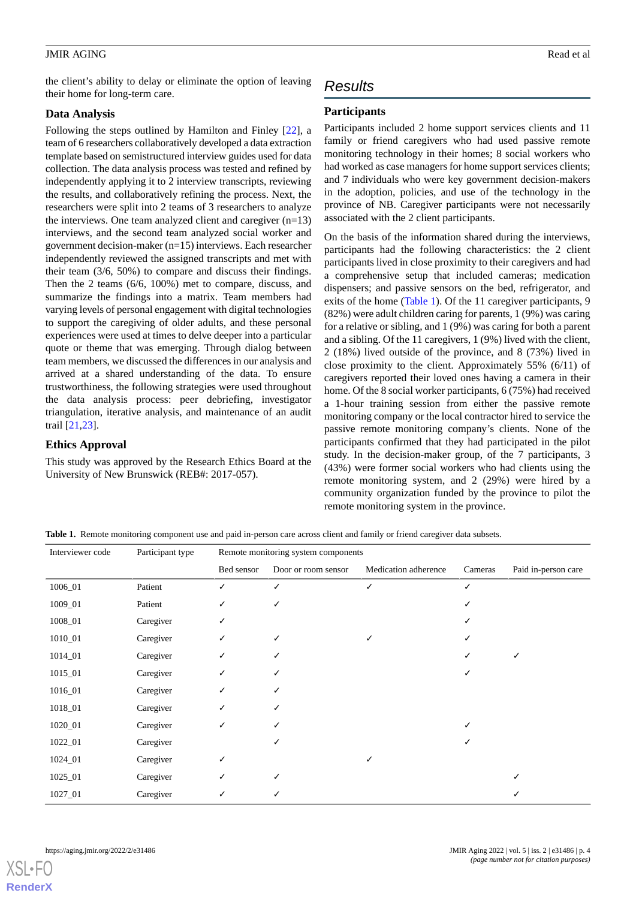the client's ability to delay or eliminate the option of leaving their home for long-term care.

### **Data Analysis**

Following the steps outlined by Hamilton and Finley [[22\]](#page-12-10), a team of 6 researchers collaboratively developed a data extraction template based on semistructured interview guides used for data collection. The data analysis process was tested and refined by independently applying it to 2 interview transcripts, reviewing the results, and collaboratively refining the process. Next, the researchers were split into 2 teams of 3 researchers to analyze the interviews. One team analyzed client and caregiver  $(n=13)$ interviews, and the second team analyzed social worker and government decision-maker (n=15) interviews. Each researcher independently reviewed the assigned transcripts and met with their team (3/6, 50%) to compare and discuss their findings. Then the 2 teams (6/6, 100%) met to compare, discuss, and summarize the findings into a matrix. Team members had varying levels of personal engagement with digital technologies to support the caregiving of older adults, and these personal experiences were used at times to delve deeper into a particular quote or theme that was emerging. Through dialog between team members, we discussed the differences in our analysis and arrived at a shared understanding of the data. To ensure trustworthiness, the following strategies were used throughout the data analysis process: peer debriefing, investigator triangulation, iterative analysis, and maintenance of an audit trail [\[21](#page-12-9),[23\]](#page-12-11).

### **Ethics Approval**

<span id="page-3-0"></span>This study was approved by the Research Ethics Board at the University of New Brunswick (REB#: 2017-057).

## *Results*

### **Participants**

Participants included 2 home support services clients and 11 family or friend caregivers who had used passive remote monitoring technology in their homes; 8 social workers who had worked as case managers for home support services clients; and 7 individuals who were key government decision-makers in the adoption, policies, and use of the technology in the province of NB. Caregiver participants were not necessarily associated with the 2 client participants.

On the basis of the information shared during the interviews, participants had the following characteristics: the 2 client participants lived in close proximity to their caregivers and had a comprehensive setup that included cameras; medication dispensers; and passive sensors on the bed, refrigerator, and exits of the home ([Table 1](#page-3-0)). Of the 11 caregiver participants, 9 (82%) were adult children caring for parents, 1 (9%) was caring for a relative or sibling, and 1 (9%) was caring for both a parent and a sibling. Of the 11 caregivers, 1 (9%) lived with the client, 2 (18%) lived outside of the province, and 8 (73%) lived in close proximity to the client. Approximately 55% (6/11) of caregivers reported their loved ones having a camera in their home. Of the 8 social worker participants, 6 (75%) had received a 1-hour training session from either the passive remote monitoring company or the local contractor hired to service the passive remote monitoring company's clients. None of the participants confirmed that they had participated in the pilot study. In the decision-maker group, of the 7 participants, 3 (43%) were former social workers who had clients using the remote monitoring system, and 2 (29%) were hired by a community organization funded by the province to pilot the remote monitoring system in the province.

**Table 1.** Remote monitoring component use and paid in-person care across client and family or friend caregiver data subsets.

| Interviewer code | Participant type | Remote monitoring system components |                     |                      |         |                     |
|------------------|------------------|-------------------------------------|---------------------|----------------------|---------|---------------------|
|                  |                  | Bed sensor                          | Door or room sensor | Medication adherence | Cameras | Paid in-person care |
| 1006_01          | Patient          | ✓                                   | ✓                   | ✓                    |         |                     |
| 1009_01          | Patient          | ✓                                   | ✓                   |                      |         |                     |
| 1008_01          | Caregiver        | ✓                                   |                     |                      |         |                     |
| 1010_01          | Caregiver        | ✓                                   | ✓                   | ✓                    |         |                     |
| 1014_01          | Caregiver        | ✓                                   |                     |                      |         | √                   |
| 1015_01          | Caregiver        | ✓                                   |                     |                      |         |                     |
| 1016_01          | Caregiver        | ✓                                   |                     |                      |         |                     |
| 1018_01          | Caregiver        | ✓                                   |                     |                      |         |                     |
| 1020_01          | Caregiver        | ✓                                   |                     |                      |         |                     |
| 1022_01          | Caregiver        |                                     |                     |                      |         |                     |
| 1024_01          | Caregiver        | ✓                                   |                     | ✓                    |         |                     |
| 1025_01          | Caregiver        |                                     |                     |                      |         | ✓                   |
| 1027_01          | Caregiver        |                                     |                     |                      |         |                     |

[XSL](http://www.w3.org/Style/XSL)•FO **[RenderX](http://www.renderx.com/)**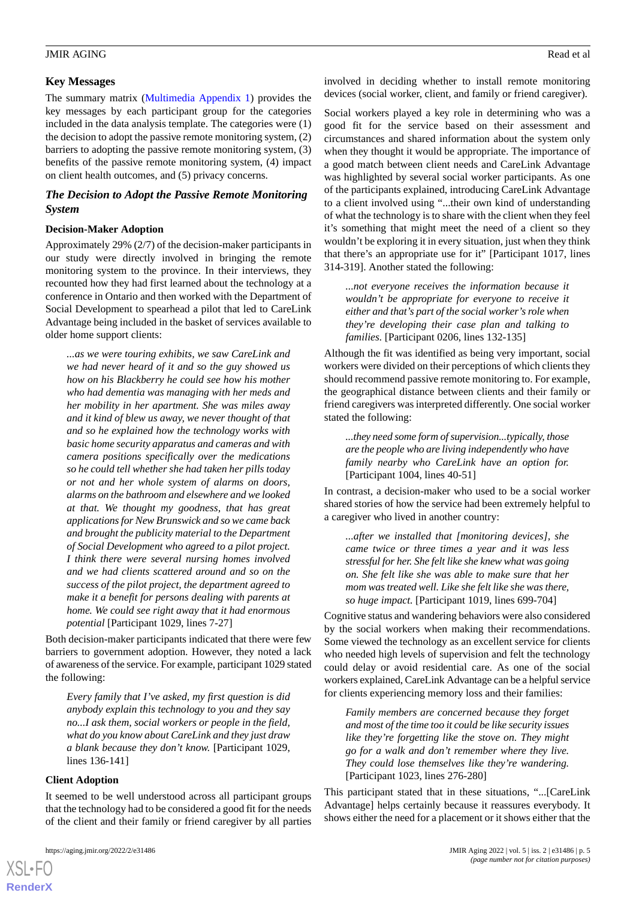The summary matrix ([Multimedia Appendix 1](#page-11-11)) provides the key messages by each participant group for the categories included in the data analysis template. The categories were (1) the decision to adopt the passive remote monitoring system, (2) barriers to adopting the passive remote monitoring system, (3) benefits of the passive remote monitoring system, (4) impact on client health outcomes, and (5) privacy concerns.

### *The Decision to Adopt the Passive Remote Monitoring System*

### **Decision-Maker Adoption**

Approximately 29% (2/7) of the decision-maker participants in our study were directly involved in bringing the remote monitoring system to the province. In their interviews, they recounted how they had first learned about the technology at a conference in Ontario and then worked with the Department of Social Development to spearhead a pilot that led to CareLink Advantage being included in the basket of services available to older home support clients:

*...as we were touring exhibits, we saw CareLink and we had never heard of it and so the guy showed us how on his Blackberry he could see how his mother who had dementia was managing with her meds and her mobility in her apartment. She was miles away and it kind of blew us away, we never thought of that and so he explained how the technology works with basic home security apparatus and cameras and with camera positions specifically over the medications so he could tell whether she had taken her pills today or not and her whole system of alarms on doors, alarms on the bathroom and elsewhere and we looked at that. We thought my goodness, that has great applications for New Brunswick and so we came back and brought the publicity material to the Department of Social Development who agreed to a pilot project. I think there were several nursing homes involved and we had clients scattered around and so on the success of the pilot project, the department agreed to make it a benefit for persons dealing with parents at home. We could see right away that it had enormous potential* [Participant 1029, lines 7-27]

Both decision-maker participants indicated that there were few barriers to government adoption. However, they noted a lack of awareness of the service. For example, participant 1029 stated the following:

*Every family that I've asked, my first question is did anybody explain this technology to you and they say no...I ask them, social workers or people in the field, what do you know about CareLink and they just draw a blank because they don't know.* [Participant 1029, lines 136-141]

### **Client Adoption**

[XSL](http://www.w3.org/Style/XSL)•FO **[RenderX](http://www.renderx.com/)**

It seemed to be well understood across all participant groups that the technology had to be considered a good fit for the needs of the client and their family or friend caregiver by all parties

involved in deciding whether to install remote monitoring devices (social worker, client, and family or friend caregiver).

Social workers played a key role in determining who was a good fit for the service based on their assessment and circumstances and shared information about the system only when they thought it would be appropriate. The importance of a good match between client needs and CareLink Advantage was highlighted by several social worker participants. As one of the participants explained, introducing CareLink Advantage to a client involved using "...their own kind of understanding of what the technology is to share with the client when they feel it's something that might meet the need of a client so they wouldn't be exploring it in every situation, just when they think that there's an appropriate use for it" [Participant 1017, lines 314-319]. Another stated the following:

*...not everyone receives the information because it wouldn't be appropriate for everyone to receive it either and that's part of the social worker's role when they're developing their case plan and talking to families.* [Participant 0206, lines 132-135]

Although the fit was identified as being very important, social workers were divided on their perceptions of which clients they should recommend passive remote monitoring to. For example, the geographical distance between clients and their family or friend caregivers was interpreted differently. One social worker stated the following:

*...they need some form of supervision...typically, those are the people who are living independently who have family nearby who CareLink have an option for.* [Participant 1004, lines 40-51]

In contrast, a decision-maker who used to be a social worker shared stories of how the service had been extremely helpful to a caregiver who lived in another country:

*...after we installed that [monitoring devices], she came twice or three times a year and it was less stressful for her. She felt like she knew what was going on. She felt like she was able to make sure that her mom was treated well. Like she felt like she was there, so huge impact.* [Participant 1019, lines 699-704]

Cognitive status and wandering behaviors were also considered by the social workers when making their recommendations. Some viewed the technology as an excellent service for clients who needed high levels of supervision and felt the technology could delay or avoid residential care. As one of the social workers explained, CareLink Advantage can be a helpful service for clients experiencing memory loss and their families:

*Family members are concerned because they forget and most of the time too it could be like security issues like they're forgetting like the stove on. They might go for a walk and don't remember where they live. They could lose themselves like they're wandering.* [Participant 1023, lines 276-280]

This participant stated that in these situations, "...[CareLink Advantage] helps certainly because it reassures everybody. It shows either the need for a placement or it shows either that the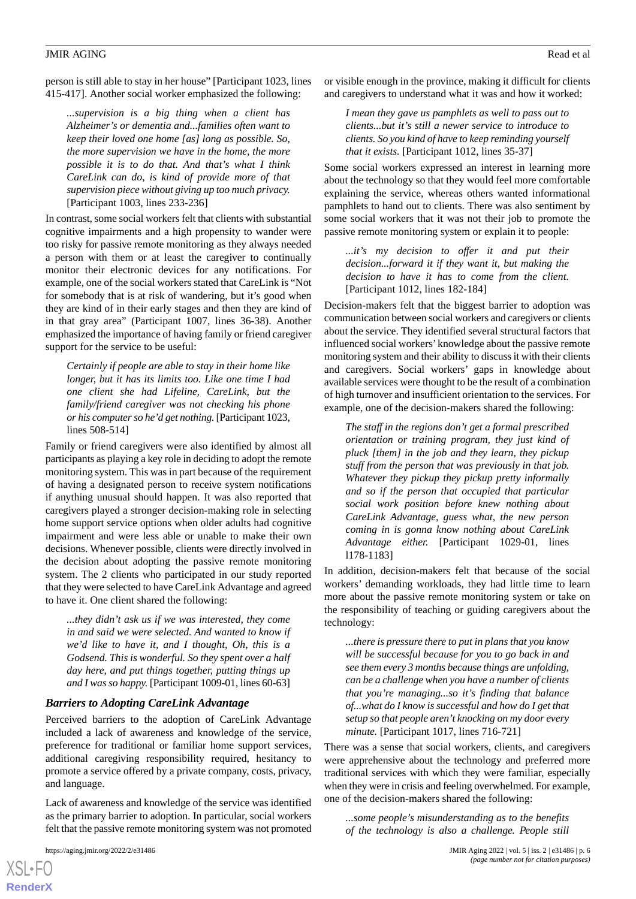person is still able to stay in her house" [Participant 1023, lines 415-417]. Another social worker emphasized the following:

*...supervision is a big thing when a client has Alzheimer's or dementia and...families often want to keep their loved one home [as] long as possible. So, the more supervision we have in the home, the more possible it is to do that. And that's what I think CareLink can do, is kind of provide more of that supervision piece without giving up too much privacy.* [Participant 1003, lines 233-236]

In contrast, some social workers felt that clients with substantial cognitive impairments and a high propensity to wander were too risky for passive remote monitoring as they always needed a person with them or at least the caregiver to continually monitor their electronic devices for any notifications. For example, one of the social workers stated that CareLink is "Not for somebody that is at risk of wandering, but it's good when they are kind of in their early stages and then they are kind of in that gray area" (Participant 1007, lines 36-38). Another emphasized the importance of having family or friend caregiver support for the service to be useful:

*Certainly if people are able to stay in their home like longer, but it has its limits too. Like one time I had one client she had Lifeline, CareLink, but the family/friend caregiver was not checking his phone or his computer so he'd get nothing.* [Participant 1023, lines 508-514]

Family or friend caregivers were also identified by almost all participants as playing a key role in deciding to adopt the remote monitoring system. This was in part because of the requirement of having a designated person to receive system notifications if anything unusual should happen. It was also reported that caregivers played a stronger decision-making role in selecting home support service options when older adults had cognitive impairment and were less able or unable to make their own decisions. Whenever possible, clients were directly involved in the decision about adopting the passive remote monitoring system. The 2 clients who participated in our study reported that they were selected to have CareLink Advantage and agreed to have it. One client shared the following:

*...they didn't ask us if we was interested, they come in and said we were selected. And wanted to know if we'd like to have it, and I thought, Oh, this is a Godsend. This is wonderful. So they spent over a half day here, and put things together, putting things up and I was so happy.* [Participant 1009-01, lines 60-63]

### *Barriers to Adopting CareLink Advantage*

Perceived barriers to the adoption of CareLink Advantage included a lack of awareness and knowledge of the service, preference for traditional or familiar home support services, additional caregiving responsibility required, hesitancy to promote a service offered by a private company, costs, privacy, and language.

Lack of awareness and knowledge of the service was identified as the primary barrier to adoption. In particular, social workers felt that the passive remote monitoring system was not promoted

[XSL](http://www.w3.org/Style/XSL)•FO **[RenderX](http://www.renderx.com/)**

or visible enough in the province, making it difficult for clients and caregivers to understand what it was and how it worked:

*I mean they gave us pamphlets as well to pass out to clients...but it's still a newer service to introduce to clients. So you kind of have to keep reminding yourself that it exists.* [Participant 1012, lines 35-37]

Some social workers expressed an interest in learning more about the technology so that they would feel more comfortable explaining the service, whereas others wanted informational pamphlets to hand out to clients. There was also sentiment by some social workers that it was not their job to promote the passive remote monitoring system or explain it to people:

*...it's my decision to offer it and put their decision...forward it if they want it, but making the decision to have it has to come from the client.* [Participant 1012, lines 182-184]

Decision-makers felt that the biggest barrier to adoption was communication between social workers and caregivers or clients about the service. They identified several structural factors that influenced social workers' knowledge about the passive remote monitoring system and their ability to discuss it with their clients and caregivers. Social workers' gaps in knowledge about available services were thought to be the result of a combination of high turnover and insufficient orientation to the services. For example, one of the decision-makers shared the following:

*The staff in the regions don't get a formal prescribed orientation or training program, they just kind of pluck [them] in the job and they learn, they pickup stuff from the person that was previously in that job. Whatever they pickup they pickup pretty informally and so if the person that occupied that particular social work position before knew nothing about CareLink Advantage, guess what, the new person coming in is gonna know nothing about CareLink Advantage either.* [Participant 1029-01, lines l178-1183]

In addition, decision-makers felt that because of the social workers' demanding workloads, they had little time to learn more about the passive remote monitoring system or take on the responsibility of teaching or guiding caregivers about the technology:

*...there is pressure there to put in plans that you know will be successful because for you to go back in and see them every 3 months because things are unfolding, can be a challenge when you have a number of clients that you're managing...so it's finding that balance of...what do I know is successful and how do I get that setup so that people aren't knocking on my door every minute.* [Participant 1017, lines 716-721]

There was a sense that social workers, clients, and caregivers were apprehensive about the technology and preferred more traditional services with which they were familiar, especially when they were in crisis and feeling overwhelmed. For example, one of the decision-makers shared the following:

*...some people's misunderstanding as to the benefits of the technology is also a challenge. People still*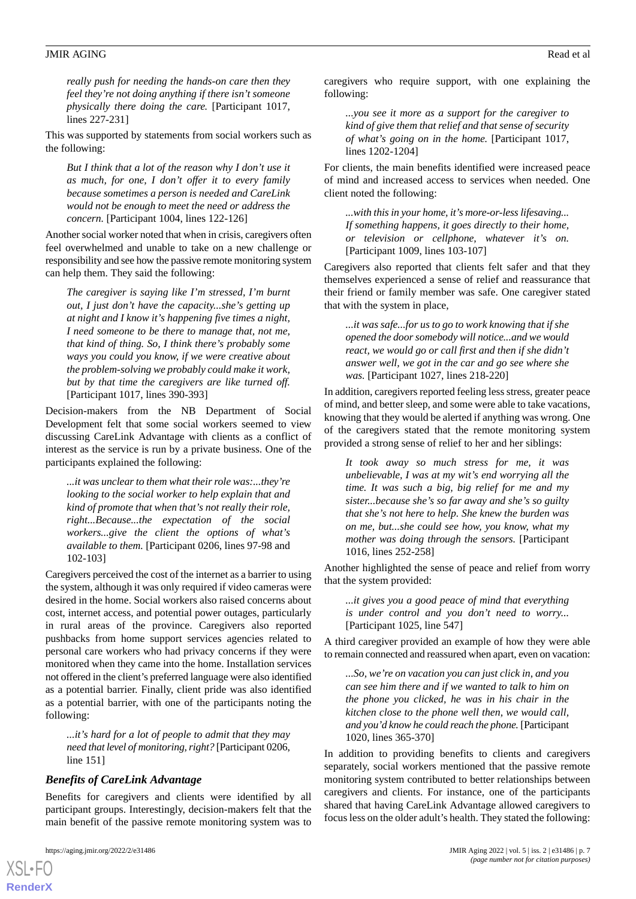*really push for needing the hands-on care then they feel they're not doing anything if there isn't someone physically there doing the care.* [Participant 1017, lines 227-231]

This was supported by statements from social workers such as the following:

*But I think that a lot of the reason why I don't use it as much, for one, I don't offer it to every family because sometimes a person is needed and CareLink would not be enough to meet the need or address the concern.* [Participant 1004, lines 122-126]

Another social worker noted that when in crisis, caregivers often feel overwhelmed and unable to take on a new challenge or responsibility and see how the passive remote monitoring system can help them. They said the following:

*The caregiver is saying like I'm stressed, I'm burnt out, I just don't have the capacity...she's getting up at night and I know it's happening five times a night, I need someone to be there to manage that, not me, that kind of thing. So, I think there's probably some ways you could you know, if we were creative about the problem-solving we probably could make it work, but by that time the caregivers are like turned off.* [Participant 1017, lines 390-393]

Decision-makers from the NB Department of Social Development felt that some social workers seemed to view discussing CareLink Advantage with clients as a conflict of interest as the service is run by a private business. One of the participants explained the following:

*...it was unclear to them what their role was:...they're looking to the social worker to help explain that and kind of promote that when that's not really their role, right...Because...the expectation of the social workers...give the client the options of what's available to them.* [Participant 0206, lines 97-98 and 102-103]

Caregivers perceived the cost of the internet as a barrier to using the system, although it was only required if video cameras were desired in the home. Social workers also raised concerns about cost, internet access, and potential power outages, particularly in rural areas of the province. Caregivers also reported pushbacks from home support services agencies related to personal care workers who had privacy concerns if they were monitored when they came into the home. Installation services not offered in the client's preferred language were also identified as a potential barrier. Finally, client pride was also identified as a potential barrier, with one of the participants noting the following:

*...it's hard for a lot of people to admit that they may need that level of monitoring, right?* [Participant 0206, line 151]

#### *Benefits of CareLink Advantage*

Benefits for caregivers and clients were identified by all participant groups. Interestingly, decision-makers felt that the main benefit of the passive remote monitoring system was to

[XSL](http://www.w3.org/Style/XSL)•FO **[RenderX](http://www.renderx.com/)**

caregivers who require support, with one explaining the following:

*...you see it more as a support for the caregiver to kind of give them that relief and that sense of security of what's going on in the home.* [Participant 1017, lines 1202-1204]

For clients, the main benefits identified were increased peace of mind and increased access to services when needed. One client noted the following:

*...with this in your home, it's more-or-less lifesaving... If something happens, it goes directly to their home, or television or cellphone, whatever it's on.* [Participant 1009, lines 103-107]

Caregivers also reported that clients felt safer and that they themselves experienced a sense of relief and reassurance that their friend or family member was safe. One caregiver stated that with the system in place,

*...it was safe...for us to go to work knowing that if she opened the door somebody will notice...and we would react, we would go or call first and then if she didn't answer well, we got in the car and go see where she was.* [Participant 1027, lines 218-220]

In addition, caregivers reported feeling less stress, greater peace of mind, and better sleep, and some were able to take vacations, knowing that they would be alerted if anything was wrong. One of the caregivers stated that the remote monitoring system provided a strong sense of relief to her and her siblings:

*It took away so much stress for me, it was unbelievable, I was at my wit's end worrying all the time. It was such a big, big relief for me and my sister...because she's so far away and she's so guilty that she's not here to help. She knew the burden was on me, but...she could see how, you know, what my mother was doing through the sensors.* [Participant 1016, lines 252-258]

Another highlighted the sense of peace and relief from worry that the system provided:

*...it gives you a good peace of mind that everything is under control and you don't need to worry...* [Participant 1025, line 547]

A third caregiver provided an example of how they were able to remain connected and reassured when apart, even on vacation:

*...So, we're on vacation you can just click in, and you can see him there and if we wanted to talk to him on the phone you clicked, he was in his chair in the kitchen close to the phone well then, we would call, and you'd know he could reach the phone.* [Participant 1020, lines 365-370]

In addition to providing benefits to clients and caregivers separately, social workers mentioned that the passive remote monitoring system contributed to better relationships between caregivers and clients. For instance, one of the participants shared that having CareLink Advantage allowed caregivers to focus less on the older adult's health. They stated the following: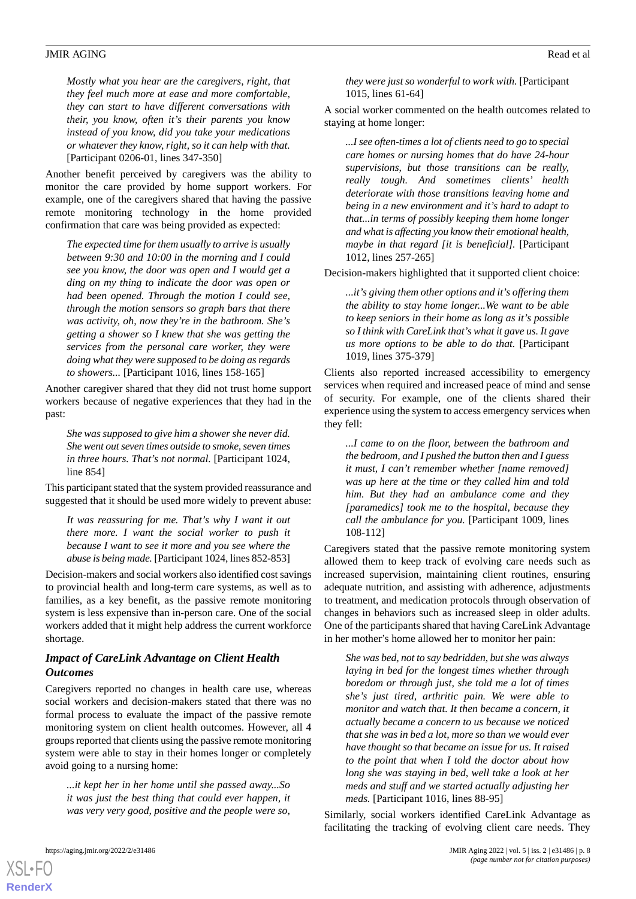*Mostly what you hear are the caregivers, right, that they feel much more at ease and more comfortable, they can start to have different conversations with their, you know, often it's their parents you know instead of you know, did you take your medications or whatever they know, right, so it can help with that.* [Participant 0206-01, lines 347-350]

Another benefit perceived by caregivers was the ability to monitor the care provided by home support workers. For example, one of the caregivers shared that having the passive remote monitoring technology in the home provided confirmation that care was being provided as expected:

*The expected time for them usually to arrive is usually between 9:30 and 10:00 in the morning and I could see you know, the door was open and I would get a ding on my thing to indicate the door was open or had been opened. Through the motion I could see, through the motion sensors so graph bars that there was activity, oh, now they're in the bathroom. She's getting a shower so I knew that she was getting the services from the personal care worker, they were doing what they were supposed to be doing as regards to showers...* [Participant 1016, lines 158-165]

Another caregiver shared that they did not trust home support workers because of negative experiences that they had in the past:

*She was supposed to give him a shower she never did. She went out seven times outside to smoke, seven times in three hours. That's not normal.* [Participant 1024, line 854]

This participant stated that the system provided reassurance and suggested that it should be used more widely to prevent abuse:

*It was reassuring for me. That's why I want it out there more. I want the social worker to push it because I want to see it more and you see where the abuse is being made.* [Participant 1024, lines 852-853]

Decision-makers and social workers also identified cost savings to provincial health and long-term care systems, as well as to families, as a key benefit, as the passive remote monitoring system is less expensive than in-person care. One of the social workers added that it might help address the current workforce shortage.

### *Impact of CareLink Advantage on Client Health Outcomes*

Caregivers reported no changes in health care use, whereas social workers and decision-makers stated that there was no formal process to evaluate the impact of the passive remote monitoring system on client health outcomes. However, all 4 groups reported that clients using the passive remote monitoring system were able to stay in their homes longer or completely avoid going to a nursing home:

*...it kept her in her home until she passed away...So it was just the best thing that could ever happen, it was very very good, positive and the people were so,*

[XSL](http://www.w3.org/Style/XSL)•FO **[RenderX](http://www.renderx.com/)**

*they were just so wonderful to work with.* [Participant 1015, lines 61-64]

A social worker commented on the health outcomes related to staying at home longer:

*...I see often-times a lot of clients need to go to special care homes or nursing homes that do have 24-hour supervisions, but those transitions can be really, really tough. And sometimes clients' health deteriorate with those transitions leaving home and being in a new environment and it's hard to adapt to that...in terms of possibly keeping them home longer and what is affecting you know their emotional health, maybe in that regard [it is beneficial].* [Participant 1012, lines 257-265]

Decision-makers highlighted that it supported client choice:

*...it's giving them other options and it's offering them the ability to stay home longer...We want to be able to keep seniors in their home as long as it's possible so I think with CareLink that's what it gave us. It gave us more options to be able to do that.* [Participant 1019, lines 375-379]

Clients also reported increased accessibility to emergency services when required and increased peace of mind and sense of security. For example, one of the clients shared their experience using the system to access emergency services when they fell:

*...I came to on the floor, between the bathroom and the bedroom, and I pushed the button then and I guess it must, I can't remember whether [name removed] was up here at the time or they called him and told him. But they had an ambulance come and they [paramedics] took me to the hospital, because they call the ambulance for you.* [Participant 1009, lines 108-112]

Caregivers stated that the passive remote monitoring system allowed them to keep track of evolving care needs such as increased supervision, maintaining client routines, ensuring adequate nutrition, and assisting with adherence, adjustments to treatment, and medication protocols through observation of changes in behaviors such as increased sleep in older adults. One of the participants shared that having CareLink Advantage in her mother's home allowed her to monitor her pain:

*She was bed, not to say bedridden, but she was always laying in bed for the longest times whether through boredom or through just, she told me a lot of times she's just tired, arthritic pain. We were able to monitor and watch that. It then became a concern, it actually became a concern to us because we noticed that she was in bed a lot, more so than we would ever have thought so that became an issue for us. It raised to the point that when I told the doctor about how long she was staying in bed, well take a look at her meds and stuff and we started actually adjusting her meds.* [Participant 1016, lines 88-95]

Similarly, social workers identified CareLink Advantage as facilitating the tracking of evolving client care needs. They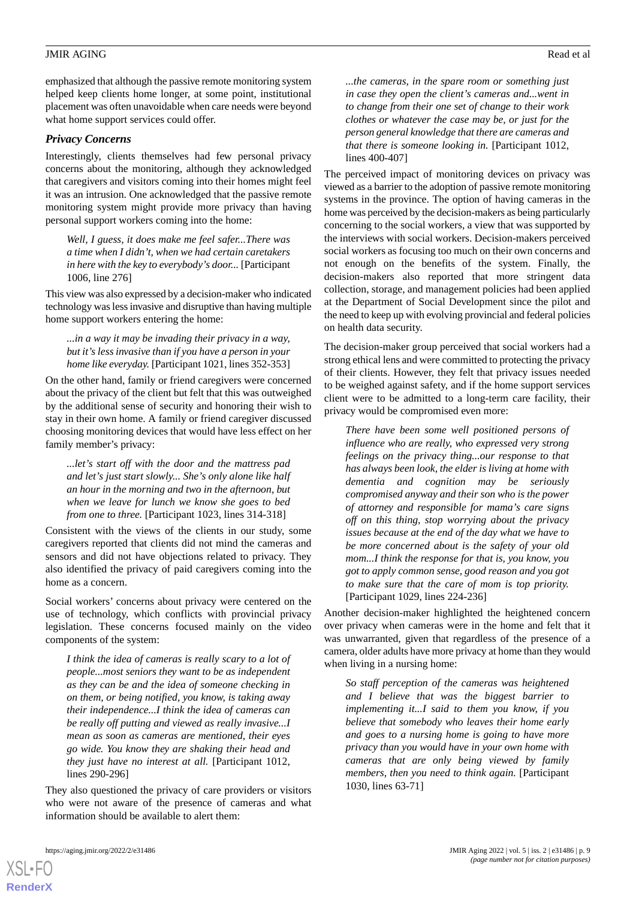emphasized that although the passive remote monitoring system helped keep clients home longer, at some point, institutional placement was often unavoidable when care needs were beyond

### *Privacy Concerns*

what home support services could offer.

Interestingly, clients themselves had few personal privacy concerns about the monitoring, although they acknowledged that caregivers and visitors coming into their homes might feel it was an intrusion. One acknowledged that the passive remote monitoring system might provide more privacy than having personal support workers coming into the home:

*Well, I guess, it does make me feel safer...There was a time when I didn't, when we had certain caretakers in here with the key to everybody's door...* [Participant 1006, line 276]

This view was also expressed by a decision-maker who indicated technology was less invasive and disruptive than having multiple home support workers entering the home:

*...in a way it may be invading their privacy in a way, but it's less invasive than if you have a person in your home like everyday.* [Participant 1021, lines 352-353]

On the other hand, family or friend caregivers were concerned about the privacy of the client but felt that this was outweighed by the additional sense of security and honoring their wish to stay in their own home. A family or friend caregiver discussed choosing monitoring devices that would have less effect on her family member's privacy:

*...let's start off with the door and the mattress pad and let's just start slowly... She's only alone like half an hour in the morning and two in the afternoon, but when we leave for lunch we know she goes to bed from one to three.* [Participant 1023, lines 314-318]

Consistent with the views of the clients in our study, some caregivers reported that clients did not mind the cameras and sensors and did not have objections related to privacy. They also identified the privacy of paid caregivers coming into the home as a concern.

Social workers' concerns about privacy were centered on the use of technology, which conflicts with provincial privacy legislation. These concerns focused mainly on the video components of the system:

*I think the idea of cameras is really scary to a lot of people...most seniors they want to be as independent as they can be and the idea of someone checking in on them, or being notified, you know, is taking away their independence...I think the idea of cameras can be really off putting and viewed as really invasive...I mean as soon as cameras are mentioned, their eyes go wide. You know they are shaking their head and they just have no interest at all.* [Participant 1012, lines 290-296]

They also questioned the privacy of care providers or visitors who were not aware of the presence of cameras and what information should be available to alert them:

[XSL](http://www.w3.org/Style/XSL)•FO **[RenderX](http://www.renderx.com/)**

*...the cameras, in the spare room or something just in case they open the client's cameras and...went in to change from their one set of change to their work clothes or whatever the case may be, or just for the*

lines 400-407] The perceived impact of monitoring devices on privacy was viewed as a barrier to the adoption of passive remote monitoring systems in the province. The option of having cameras in the home was perceived by the decision-makers as being particularly concerning to the social workers, a view that was supported by the interviews with social workers. Decision-makers perceived social workers as focusing too much on their own concerns and not enough on the benefits of the system. Finally, the decision-makers also reported that more stringent data collection, storage, and management policies had been applied at the Department of Social Development since the pilot and the need to keep up with evolving provincial and federal policies on health data security.

*person general knowledge that there are cameras and that there is someone looking in.* [Participant 1012,

The decision-maker group perceived that social workers had a strong ethical lens and were committed to protecting the privacy of their clients. However, they felt that privacy issues needed to be weighed against safety, and if the home support services client were to be admitted to a long-term care facility, their privacy would be compromised even more:

*There have been some well positioned persons of influence who are really, who expressed very strong feelings on the privacy thing...our response to that has always been look, the elder is living at home with dementia and cognition may be seriously compromised anyway and their son who is the power of attorney and responsible for mama's care signs off on this thing, stop worrying about the privacy issues because at the end of the day what we have to be more concerned about is the safety of your old mom...I think the response for that is, you know, you got to apply common sense, good reason and you got to make sure that the care of mom is top priority.* [Participant 1029, lines 224-236]

Another decision-maker highlighted the heightened concern over privacy when cameras were in the home and felt that it was unwarranted, given that regardless of the presence of a camera, older adults have more privacy at home than they would when living in a nursing home:

*So staff perception of the cameras was heightened and I believe that was the biggest barrier to implementing it...I said to them you know, if you believe that somebody who leaves their home early and goes to a nursing home is going to have more privacy than you would have in your own home with cameras that are only being viewed by family members, then you need to think again.* [Participant 1030, lines 63-71]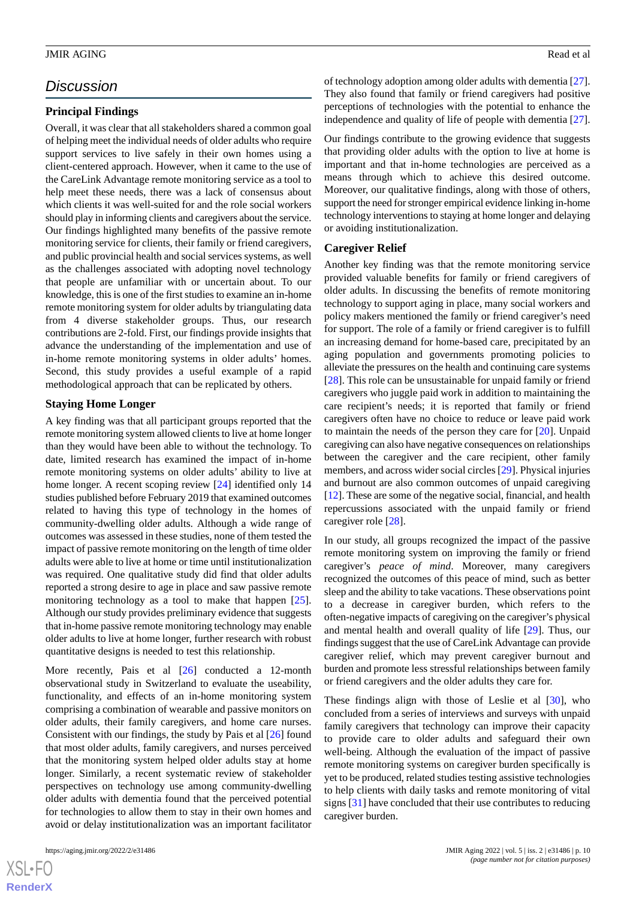### *Discussion*

#### **Principal Findings**

Overall, it was clear that all stakeholders shared a common goal of helping meet the individual needs of older adults who require support services to live safely in their own homes using a client-centered approach. However, when it came to the use of the CareLink Advantage remote monitoring service as a tool to help meet these needs, there was a lack of consensus about which clients it was well-suited for and the role social workers should play in informing clients and caregivers about the service. Our findings highlighted many benefits of the passive remote monitoring service for clients, their family or friend caregivers, and public provincial health and social services systems, as well as the challenges associated with adopting novel technology that people are unfamiliar with or uncertain about. To our knowledge, this is one of the first studies to examine an in-home remote monitoring system for older adults by triangulating data from 4 diverse stakeholder groups. Thus, our research contributions are 2-fold. First, our findings provide insights that advance the understanding of the implementation and use of in-home remote monitoring systems in older adults' homes. Second, this study provides a useful example of a rapid methodological approach that can be replicated by others.

### **Staying Home Longer**

A key finding was that all participant groups reported that the remote monitoring system allowed clients to live at home longer than they would have been able to without the technology. To date, limited research has examined the impact of in-home remote monitoring systems on older adults' ability to live at home longer. A recent scoping review [\[24](#page-12-12)] identified only 14 studies published before February 2019 that examined outcomes related to having this type of technology in the homes of community-dwelling older adults. Although a wide range of outcomes was assessed in these studies, none of them tested the impact of passive remote monitoring on the length of time older adults were able to live at home or time until institutionalization was required. One qualitative study did find that older adults reported a strong desire to age in place and saw passive remote monitoring technology as a tool to make that happen [[25\]](#page-12-13). Although our study provides preliminary evidence that suggests that in-home passive remote monitoring technology may enable older adults to live at home longer, further research with robust quantitative designs is needed to test this relationship.

More recently, Pais et al [[26\]](#page-12-14) conducted a 12-month observational study in Switzerland to evaluate the useability, functionality, and effects of an in-home monitoring system comprising a combination of wearable and passive monitors on older adults, their family caregivers, and home care nurses. Consistent with our findings, the study by Pais et al [[26\]](#page-12-14) found that most older adults, family caregivers, and nurses perceived that the monitoring system helped older adults stay at home longer. Similarly, a recent systematic review of stakeholder perspectives on technology use among community-dwelling older adults with dementia found that the perceived potential for technologies to allow them to stay in their own homes and avoid or delay institutionalization was an important facilitator

of technology adoption among older adults with dementia [[27\]](#page-12-15). They also found that family or friend caregivers had positive perceptions of technologies with the potential to enhance the independence and quality of life of people with dementia [[27\]](#page-12-15).

Our findings contribute to the growing evidence that suggests that providing older adults with the option to live at home is important and that in-home technologies are perceived as a means through which to achieve this desired outcome. Moreover, our qualitative findings, along with those of others, support the need for stronger empirical evidence linking in-home technology interventions to staying at home longer and delaying or avoiding institutionalization.

#### **Caregiver Relief**

Another key finding was that the remote monitoring service provided valuable benefits for family or friend caregivers of older adults. In discussing the benefits of remote monitoring technology to support aging in place, many social workers and policy makers mentioned the family or friend caregiver's need for support. The role of a family or friend caregiver is to fulfill an increasing demand for home-based care, precipitated by an aging population and governments promoting policies to alleviate the pressures on the health and continuing care systems [[28\]](#page-12-16). This role can be unsustainable for unpaid family or friend caregivers who juggle paid work in addition to maintaining the care recipient's needs; it is reported that family or friend caregivers often have no choice to reduce or leave paid work to maintain the needs of the person they care for [[20\]](#page-12-8). Unpaid caregiving can also have negative consequences on relationships between the caregiver and the care recipient, other family members, and across wider social circles [\[29](#page-12-17)]. Physical injuries and burnout are also common outcomes of unpaid caregiving [[12\]](#page-12-0). These are some of the negative social, financial, and health repercussions associated with the unpaid family or friend caregiver role [\[28](#page-12-16)].

In our study, all groups recognized the impact of the passive remote monitoring system on improving the family or friend caregiver's *peace of mind*. Moreover, many caregivers recognized the outcomes of this peace of mind, such as better sleep and the ability to take vacations. These observations point to a decrease in caregiver burden, which refers to the often-negative impacts of caregiving on the caregiver's physical and mental health and overall quality of life [[29\]](#page-12-17). Thus, our findings suggest that the use of CareLink Advantage can provide caregiver relief, which may prevent caregiver burnout and burden and promote less stressful relationships between family or friend caregivers and the older adults they care for.

These findings align with those of Leslie et al [[30\]](#page-12-18), who concluded from a series of interviews and surveys with unpaid family caregivers that technology can improve their capacity to provide care to older adults and safeguard their own well-being. Although the evaluation of the impact of passive remote monitoring systems on caregiver burden specifically is yet to be produced, related studies testing assistive technologies to help clients with daily tasks and remote monitoring of vital signs [[31\]](#page-12-19) have concluded that their use contributes to reducing caregiver burden.

 $XSI - F($ **[RenderX](http://www.renderx.com/)**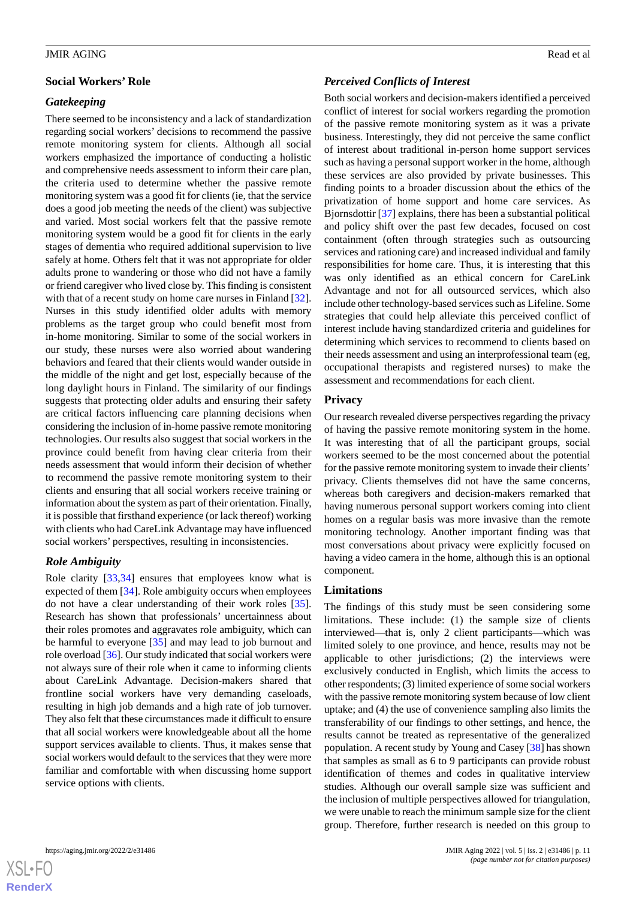### **Social Workers' Role**

### *Gatekeeping*

There seemed to be inconsistency and a lack of standardization regarding social workers' decisions to recommend the passive remote monitoring system for clients. Although all social workers emphasized the importance of conducting a holistic and comprehensive needs assessment to inform their care plan, the criteria used to determine whether the passive remote monitoring system was a good fit for clients (ie, that the service does a good job meeting the needs of the client) was subjective and varied. Most social workers felt that the passive remote monitoring system would be a good fit for clients in the early stages of dementia who required additional supervision to live safely at home. Others felt that it was not appropriate for older adults prone to wandering or those who did not have a family or friend caregiver who lived close by. This finding is consistent with that of a recent study on home care nurses in Finland [[32\]](#page-12-20). Nurses in this study identified older adults with memory problems as the target group who could benefit most from in-home monitoring. Similar to some of the social workers in our study, these nurses were also worried about wandering behaviors and feared that their clients would wander outside in the middle of the night and get lost, especially because of the long daylight hours in Finland. The similarity of our findings suggests that protecting older adults and ensuring their safety are critical factors influencing care planning decisions when considering the inclusion of in-home passive remote monitoring technologies. Our results also suggest that social workers in the province could benefit from having clear criteria from their needs assessment that would inform their decision of whether to recommend the passive remote monitoring system to their clients and ensuring that all social workers receive training or information about the system as part of their orientation. Finally, it is possible that firsthand experience (or lack thereof) working with clients who had CareLink Advantage may have influenced social workers' perspectives, resulting in inconsistencies.

### *Role Ambiguity*

Role clarity [\[33](#page-12-21),[34\]](#page-12-22) ensures that employees know what is expected of them [[34\]](#page-12-22). Role ambiguity occurs when employees do not have a clear understanding of their work roles [[35\]](#page-12-23). Research has shown that professionals' uncertainness about their roles promotes and aggravates role ambiguity, which can be harmful to everyone [\[35](#page-12-23)] and may lead to job burnout and role overload [[36\]](#page-12-24). Our study indicated that social workers were not always sure of their role when it came to informing clients about CareLink Advantage. Decision-makers shared that frontline social workers have very demanding caseloads, resulting in high job demands and a high rate of job turnover. They also felt that these circumstances made it difficult to ensure that all social workers were knowledgeable about all the home support services available to clients. Thus, it makes sense that social workers would default to the services that they were more familiar and comfortable with when discussing home support service options with clients.

### *Perceived Conflicts of Interest*

Both social workers and decision-makers identified a perceived conflict of interest for social workers regarding the promotion of the passive remote monitoring system as it was a private business. Interestingly, they did not perceive the same conflict of interest about traditional in-person home support services such as having a personal support worker in the home, although these services are also provided by private businesses. This finding points to a broader discussion about the ethics of the privatization of home support and home care services. As Bjornsdottir [\[37](#page-12-25)] explains, there has been a substantial political and policy shift over the past few decades, focused on cost containment (often through strategies such as outsourcing services and rationing care) and increased individual and family responsibilities for home care. Thus, it is interesting that this was only identified as an ethical concern for CareLink Advantage and not for all outsourced services, which also include other technology-based services such as Lifeline. Some strategies that could help alleviate this perceived conflict of interest include having standardized criteria and guidelines for determining which services to recommend to clients based on their needs assessment and using an interprofessional team (eg, occupational therapists and registered nurses) to make the assessment and recommendations for each client.

### **Privacy**

Our research revealed diverse perspectives regarding the privacy of having the passive remote monitoring system in the home. It was interesting that of all the participant groups, social workers seemed to be the most concerned about the potential for the passive remote monitoring system to invade their clients' privacy. Clients themselves did not have the same concerns, whereas both caregivers and decision-makers remarked that having numerous personal support workers coming into client homes on a regular basis was more invasive than the remote monitoring technology. Another important finding was that most conversations about privacy were explicitly focused on having a video camera in the home, although this is an optional component.

#### **Limitations**

The findings of this study must be seen considering some limitations. These include: (1) the sample size of clients interviewed—that is, only 2 client participants—which was limited solely to one province, and hence, results may not be applicable to other jurisdictions; (2) the interviews were exclusively conducted in English, which limits the access to other respondents; (3) limited experience of some social workers with the passive remote monitoring system because of low client uptake; and (4) the use of convenience sampling also limits the transferability of our findings to other settings, and hence, the results cannot be treated as representative of the generalized population. A recent study by Young and Casey [\[38](#page-12-26)] has shown that samples as small as 6 to 9 participants can provide robust identification of themes and codes in qualitative interview studies. Although our overall sample size was sufficient and the inclusion of multiple perspectives allowed for triangulation, we were unable to reach the minimum sample size for the client group. Therefore, further research is needed on this group to

 $XS$  $\cdot$ FC **[RenderX](http://www.renderx.com/)**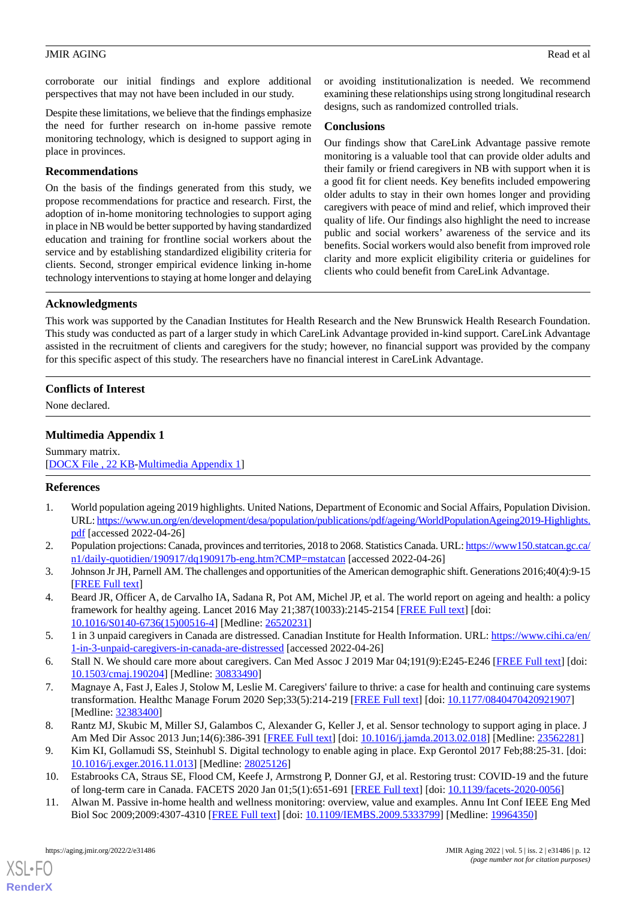corroborate our initial findings and explore additional perspectives that may not have been included in our study.

Despite these limitations, we believe that the findings emphasize the need for further research on in-home passive remote monitoring technology, which is designed to support aging in place in provinces.

### **Recommendations**

On the basis of the findings generated from this study, we propose recommendations for practice and research. First, the adoption of in-home monitoring technologies to support aging in place in NB would be better supported by having standardized education and training for frontline social workers about the service and by establishing standardized eligibility criteria for clients. Second, stronger empirical evidence linking in-home technology interventions to staying at home longer and delaying or avoiding institutionalization is needed. We recommend examining these relationships using strong longitudinal research designs, such as randomized controlled trials.

### **Conclusions**

Our findings show that CareLink Advantage passive remote monitoring is a valuable tool that can provide older adults and their family or friend caregivers in NB with support when it is a good fit for client needs. Key benefits included empowering older adults to stay in their own homes longer and providing caregivers with peace of mind and relief, which improved their quality of life. Our findings also highlight the need to increase public and social workers' awareness of the service and its benefits. Social workers would also benefit from improved role clarity and more explicit eligibility criteria or guidelines for clients who could benefit from CareLink Advantage.

### **Acknowledgments**

This work was supported by the Canadian Institutes for Health Research and the New Brunswick Health Research Foundation. This study was conducted as part of a larger study in which CareLink Advantage provided in-kind support. CareLink Advantage assisted in the recruitment of clients and caregivers for the study; however, no financial support was provided by the company for this specific aspect of this study. The researchers have no financial interest in CareLink Advantage.

### <span id="page-11-11"></span>**Conflicts of Interest**

None declared.

### **Multimedia Appendix 1**

<span id="page-11-0"></span>Summary matrix. [[DOCX File , 22 KB](https://jmir.org/api/download?alt_name=aging_v5i2e31486_app1.docx&filename=7444a713347b8fd1525fddb57ff6dc24.docx)-[Multimedia Appendix 1\]](https://jmir.org/api/download?alt_name=aging_v5i2e31486_app1.docx&filename=7444a713347b8fd1525fddb57ff6dc24.docx)

### <span id="page-11-1"></span>**References**

- <span id="page-11-2"></span>1. World population ageing 2019 highlights. United Nations, Department of Economic and Social Affairs, Population Division. URL: [https://www.un.org/en/development/desa/population/publications/pdf/ageing/WorldPopulationAgeing2019-Highlights.](https://www.un.org/en/development/desa/population/publications/pdf/ageing/WorldPopulationAgeing2019-Highlights.pdf) [pdf](https://www.un.org/en/development/desa/population/publications/pdf/ageing/WorldPopulationAgeing2019-Highlights.pdf) [accessed 2022-04-26]
- <span id="page-11-3"></span>2. Population projections: Canada, provinces and territories, 2018 to 2068. Statistics Canada. URL: [https://www150.statcan.gc.ca/](https://www150.statcan.gc.ca/n1/daily-quotidien/190917/dq190917b-eng.htm?CMP=mstatcan) [n1/daily-quotidien/190917/dq190917b-eng.htm?CMP=mstatcan](https://www150.statcan.gc.ca/n1/daily-quotidien/190917/dq190917b-eng.htm?CMP=mstatcan) [accessed 2022-04-26]
- <span id="page-11-4"></span>3. Johnson Jr JH, Parnell AM. The challenges and opportunities of the American demographic shift. Generations 2016;40(4):9-15 [[FREE Full text](https://www.proquest.com/scholarly-journals/challenges-opportunities-american-demographic/docview/1866473432/se-2?accountid=14611)]
- <span id="page-11-5"></span>4. Beard JR, Officer A, de Carvalho IA, Sadana R, Pot AM, Michel JP, et al. The world report on ageing and health: a policy framework for healthy ageing. Lancet 2016 May 21;387(10033):2145-2154 [[FREE Full text](http://europepmc.org/abstract/MED/26520231)] [doi: [10.1016/S0140-6736\(15\)00516-4\]](http://dx.doi.org/10.1016/S0140-6736(15)00516-4) [Medline: [26520231](http://www.ncbi.nlm.nih.gov/entrez/query.fcgi?cmd=Retrieve&db=PubMed&list_uids=26520231&dopt=Abstract)]
- <span id="page-11-6"></span>5. 1 in 3 unpaid caregivers in Canada are distressed. Canadian Institute for Health Information. URL: [https://www.cihi.ca/en/](https://www.cihi.ca/en/1-in-3-unpaid-caregivers-in-canada-are-distressed) [1-in-3-unpaid-caregivers-in-canada-are-distressed](https://www.cihi.ca/en/1-in-3-unpaid-caregivers-in-canada-are-distressed) [accessed 2022-04-26]
- <span id="page-11-7"></span>6. Stall N. We should care more about caregivers. Can Med Assoc J 2019 Mar 04;191(9):E245-E246 [[FREE Full text](http://www.cmaj.ca/cgi/pmidlookup?view=long&pmid=30833490)] [doi: [10.1503/cmaj.190204\]](http://dx.doi.org/10.1503/cmaj.190204) [Medline: [30833490\]](http://www.ncbi.nlm.nih.gov/entrez/query.fcgi?cmd=Retrieve&db=PubMed&list_uids=30833490&dopt=Abstract)
- <span id="page-11-9"></span><span id="page-11-8"></span>7. Magnaye A, Fast J, Eales J, Stolow M, Leslie M. Caregivers' failure to thrive: a case for health and continuing care systems transformation. Healthc Manage Forum 2020 Sep;33(5):214-219 [[FREE Full text](https://pubmed.ncbi.nlm.nih.gov/32383400/)] [doi: [10.1177/0840470420921907](http://dx.doi.org/10.1177/0840470420921907)] [Medline: [32383400](http://www.ncbi.nlm.nih.gov/entrez/query.fcgi?cmd=Retrieve&db=PubMed&list_uids=32383400&dopt=Abstract)]
- <span id="page-11-10"></span>8. Rantz MJ, Skubic M, Miller SJ, Galambos C, Alexander G, Keller J, et al. Sensor technology to support aging in place. J Am Med Dir Assoc 2013 Jun;14(6):386-391 [\[FREE Full text\]](http://europepmc.org/abstract/MED/23562281) [doi: [10.1016/j.jamda.2013.02.018\]](http://dx.doi.org/10.1016/j.jamda.2013.02.018) [Medline: [23562281](http://www.ncbi.nlm.nih.gov/entrez/query.fcgi?cmd=Retrieve&db=PubMed&list_uids=23562281&dopt=Abstract)]
- 9. Kim KI, Gollamudi SS, Steinhubl S. Digital technology to enable aging in place. Exp Gerontol 2017 Feb;88:25-31. [doi: [10.1016/j.exger.2016.11.013](http://dx.doi.org/10.1016/j.exger.2016.11.013)] [Medline: [28025126\]](http://www.ncbi.nlm.nih.gov/entrez/query.fcgi?cmd=Retrieve&db=PubMed&list_uids=28025126&dopt=Abstract)
- 10. Estabrooks CA, Straus SE, Flood CM, Keefe J, Armstrong P, Donner GJ, et al. Restoring trust: COVID-19 and the future of long-term care in Canada. FACETS 2020 Jan 01;5(1):651-691 [\[FREE Full text](https://www.facetsjournal.com/doi/full/10.1139/facets-2020-0056)] [doi: [10.1139/facets-2020-0056\]](http://dx.doi.org/10.1139/facets-2020-0056)
- 11. Alwan M. Passive in-home health and wellness monitoring: overview, value and examples. Annu Int Conf IEEE Eng Med Biol Soc 2009;2009:4307-4310 [\[FREE Full text\]](https://pubmed.ncbi.nlm.nih.gov/19964350/) [doi: [10.1109/IEMBS.2009.5333799\]](http://dx.doi.org/10.1109/IEMBS.2009.5333799) [Medline: [19964350\]](http://www.ncbi.nlm.nih.gov/entrez/query.fcgi?cmd=Retrieve&db=PubMed&list_uids=19964350&dopt=Abstract)

[XSL](http://www.w3.org/Style/XSL)•FO **[RenderX](http://www.renderx.com/)**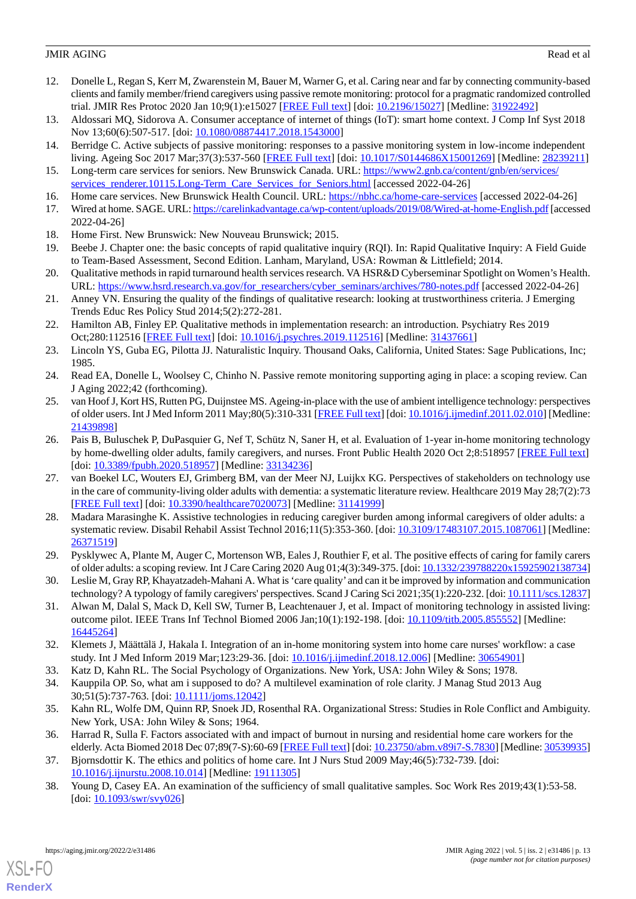- <span id="page-12-0"></span>12. Donelle L, Regan S, Kerr M, Zwarenstein M, Bauer M, Warner G, et al. Caring near and far by connecting community-based clients and family member/friend caregivers using passive remote monitoring: protocol for a pragmatic randomized controlled trial. JMIR Res Protoc 2020 Jan 10;9(1):e15027 [[FREE Full text](https://www.researchprotocols.org/2020/1/e15027/)] [doi: [10.2196/15027\]](http://dx.doi.org/10.2196/15027) [Medline: [31922492](http://www.ncbi.nlm.nih.gov/entrez/query.fcgi?cmd=Retrieve&db=PubMed&list_uids=31922492&dopt=Abstract)]
- <span id="page-12-2"></span><span id="page-12-1"></span>13. Aldossari MQ, Sidorova A. Consumer acceptance of internet of things (IoT): smart home context. J Comp Inf Syst 2018 Nov 13;60(6):507-517. [doi: [10.1080/08874417.2018.1543000](http://dx.doi.org/10.1080/08874417.2018.1543000)]
- <span id="page-12-3"></span>14. Berridge C. Active subjects of passive monitoring: responses to a passive monitoring system in low-income independent living. Ageing Soc 2017 Mar;37(3):537-560 [[FREE Full text](http://europepmc.org/abstract/MED/28239211)] [doi: [10.1017/S0144686X15001269](http://dx.doi.org/10.1017/S0144686X15001269)] [Medline: [28239211](http://www.ncbi.nlm.nih.gov/entrez/query.fcgi?cmd=Retrieve&db=PubMed&list_uids=28239211&dopt=Abstract)]
- <span id="page-12-4"></span>15. Long-term care services for seniors. New Brunswick Canada. URL: [https://www2.gnb.ca/content/gnb/en/services/](https://www2.gnb.ca/content/gnb/en/services/services_renderer.10115.Long-Term_Care_Services_for_Seniors.html) [services\\_renderer.10115.Long-Term\\_Care\\_Services\\_for\\_Seniors.html](https://www2.gnb.ca/content/gnb/en/services/services_renderer.10115.Long-Term_Care_Services_for_Seniors.html) [accessed 2022-04-26]
- <span id="page-12-5"></span>16. Home care services. New Brunswick Health Council. URL: <https://nbhc.ca/home-care-services> [accessed 2022-04-26]
- <span id="page-12-6"></span>17. Wired at home. SAGE. URL:<https://carelinkadvantage.ca/wp-content/uploads/2019/08/Wired-at-home-English.pdf> [accessed 2022-04-26]
- <span id="page-12-7"></span>18. Home First. New Brunswick: New Nouveau Brunswick; 2015.
- <span id="page-12-8"></span>19. Beebe J. Chapter one: the basic concepts of rapid qualitative inquiry (RQI). In: Rapid Qualitative Inquiry: A Field Guide to Team-Based Assessment, Second Edition. Lanham, Maryland, USA: Rowman & Littlefield; 2014.
- <span id="page-12-9"></span>20. Qualitative methods in rapid turnaround health services research. VA HSR&D Cyberseminar Spotlight on Women's Health. URL: [https://www.hsrd.research.va.gov/for\\_researchers/cyber\\_seminars/archives/780-notes.pdf](https://www.hsrd.research.va.gov/for_researchers/cyber_seminars/archives/780-notes.pdf) [accessed 2022-04-26]
- <span id="page-12-10"></span>21. Anney VN. Ensuring the quality of the findings of qualitative research: looking at trustworthiness criteria. J Emerging Trends Educ Res Policy Stud 2014;5(2):272-281.
- <span id="page-12-11"></span>22. Hamilton AB, Finley EP. Qualitative methods in implementation research: an introduction. Psychiatry Res 2019 Oct;280:112516 [\[FREE Full text\]](http://europepmc.org/abstract/MED/31437661) [doi: [10.1016/j.psychres.2019.112516\]](http://dx.doi.org/10.1016/j.psychres.2019.112516) [Medline: [31437661](http://www.ncbi.nlm.nih.gov/entrez/query.fcgi?cmd=Retrieve&db=PubMed&list_uids=31437661&dopt=Abstract)]
- <span id="page-12-13"></span><span id="page-12-12"></span>23. Lincoln YS, Guba EG, Pilotta JJ. Naturalistic Inquiry. Thousand Oaks, California, United States: Sage Publications, Inc; 1985.
- 24. Read EA, Donelle L, Woolsey C, Chinho N. Passive remote monitoring supporting aging in place: a scoping review. Can J Aging 2022;42 (forthcoming).
- <span id="page-12-14"></span>25. van Hoof J, Kort HS, Rutten PG, Duijnstee MS. Ageing-in-place with the use of ambient intelligence technology: perspectives of older users. Int J Med Inform 2011 May;80(5):310-331 [[FREE Full text\]](https://linkinghub.elsevier.com/retrieve/pii/S1386-5056(11)00056-6) [doi: [10.1016/j.ijmedinf.2011.02.010](http://dx.doi.org/10.1016/j.ijmedinf.2011.02.010)] [Medline: [21439898](http://www.ncbi.nlm.nih.gov/entrez/query.fcgi?cmd=Retrieve&db=PubMed&list_uids=21439898&dopt=Abstract)]
- <span id="page-12-15"></span>26. Pais B, Buluschek P, DuPasquier G, Nef T, Schütz N, Saner H, et al. Evaluation of 1-year in-home monitoring technology by home-dwelling older adults, family caregivers, and nurses. Front Public Health 2020 Oct 2;8:518957 [[FREE Full text](https://doi.org/10.3389/fpubh.2020.518957)] [doi: [10.3389/fpubh.2020.518957\]](http://dx.doi.org/10.3389/fpubh.2020.518957) [Medline: [33134236](http://www.ncbi.nlm.nih.gov/entrez/query.fcgi?cmd=Retrieve&db=PubMed&list_uids=33134236&dopt=Abstract)]
- <span id="page-12-16"></span>27. van Boekel LC, Wouters EJ, Grimberg BM, van der Meer NJ, Luijkx KG. Perspectives of stakeholders on technology use in the care of community-living older adults with dementia: a systematic literature review. Healthcare 2019 May 28;7(2):73 [[FREE Full text](https://www.mdpi.com/resolver?pii=healthcare7020073)] [doi: [10.3390/healthcare7020073\]](http://dx.doi.org/10.3390/healthcare7020073) [Medline: [31141999\]](http://www.ncbi.nlm.nih.gov/entrez/query.fcgi?cmd=Retrieve&db=PubMed&list_uids=31141999&dopt=Abstract)
- <span id="page-12-18"></span><span id="page-12-17"></span>28. Madara Marasinghe K. Assistive technologies in reducing caregiver burden among informal caregivers of older adults: a systematic review. Disabil Rehabil Assist Technol 2016;11(5):353-360. [doi: [10.3109/17483107.2015.1087061\]](http://dx.doi.org/10.3109/17483107.2015.1087061) [Medline: [26371519](http://www.ncbi.nlm.nih.gov/entrez/query.fcgi?cmd=Retrieve&db=PubMed&list_uids=26371519&dopt=Abstract)]
- <span id="page-12-19"></span>29. Pysklywec A, Plante M, Auger C, Mortenson WB, Eales J, Routhier F, et al. The positive effects of caring for family carers of older adults: a scoping review. Int J Care Caring 2020 Aug 01;4(3):349-375. [doi: [10.1332/239788220x15925902138734\]](http://dx.doi.org/10.1332/239788220x15925902138734)
- <span id="page-12-20"></span>30. Leslie M, Gray RP, Khayatzadeh-Mahani A. What is 'care quality'and can it be improved by information and communication technology? A typology of family caregivers' perspectives. Scand J Caring Sci 2021;35(1):220-232. [doi: [10.1111/scs.12837\]](http://dx.doi.org/10.1111/scs.12837)
- <span id="page-12-22"></span><span id="page-12-21"></span>31. Alwan M, Dalal S, Mack D, Kell SW, Turner B, Leachtenauer J, et al. Impact of monitoring technology in assisted living: outcome pilot. IEEE Trans Inf Technol Biomed 2006 Jan;10(1):192-198. [doi: [10.1109/titb.2005.855552\]](http://dx.doi.org/10.1109/titb.2005.855552) [Medline: [16445264](http://www.ncbi.nlm.nih.gov/entrez/query.fcgi?cmd=Retrieve&db=PubMed&list_uids=16445264&dopt=Abstract)]
- <span id="page-12-23"></span>32. Klemets J, Määttälä J, Hakala I. Integration of an in-home monitoring system into home care nurses' workflow: a case study. Int J Med Inform 2019 Mar;123:29-36. [doi: [10.1016/j.ijmedinf.2018.12.006](http://dx.doi.org/10.1016/j.ijmedinf.2018.12.006)] [Medline: [30654901\]](http://www.ncbi.nlm.nih.gov/entrez/query.fcgi?cmd=Retrieve&db=PubMed&list_uids=30654901&dopt=Abstract)
- <span id="page-12-24"></span>33. Katz D, Kahn RL. The Social Psychology of Organizations. New York, USA: John Wiley & Sons; 1978.
- <span id="page-12-25"></span>34. Kauppila OP. So, what am i supposed to do? A multilevel examination of role clarity. J Manag Stud 2013 Aug 30;51(5):737-763. [doi: [10.1111/joms.12042\]](http://dx.doi.org/10.1111/joms.12042)
- <span id="page-12-26"></span>35. Kahn RL, Wolfe DM, Quinn RP, Snoek JD, Rosenthal RA. Organizational Stress: Studies in Role Conflict and Ambiguity. New York, USA: John Wiley & Sons; 1964.
- 36. Harrad R, Sulla F. Factors associated with and impact of burnout in nursing and residential home care workers for the elderly. Acta Biomed 2018 Dec 07;89(7-S):60-69 [[FREE Full text](http://europepmc.org/abstract/MED/30539935)] [doi: [10.23750/abm.v89i7-S.7830\]](http://dx.doi.org/10.23750/abm.v89i7-S.7830) [Medline: [30539935](http://www.ncbi.nlm.nih.gov/entrez/query.fcgi?cmd=Retrieve&db=PubMed&list_uids=30539935&dopt=Abstract)]
- 37. Bjornsdottir K. The ethics and politics of home care. Int J Nurs Stud 2009 May;46(5):732-739. [doi: [10.1016/j.ijnurstu.2008.10.014](http://dx.doi.org/10.1016/j.ijnurstu.2008.10.014)] [Medline: [19111305\]](http://www.ncbi.nlm.nih.gov/entrez/query.fcgi?cmd=Retrieve&db=PubMed&list_uids=19111305&dopt=Abstract)
- 38. Young D, Casey EA. An examination of the sufficiency of small qualitative samples. Soc Work Res 2019;43(1):53-58. [doi: [10.1093/swr/svy026](http://dx.doi.org/10.1093/swr/svy026)]

[XSL](http://www.w3.org/Style/XSL)•FO **[RenderX](http://www.renderx.com/)**